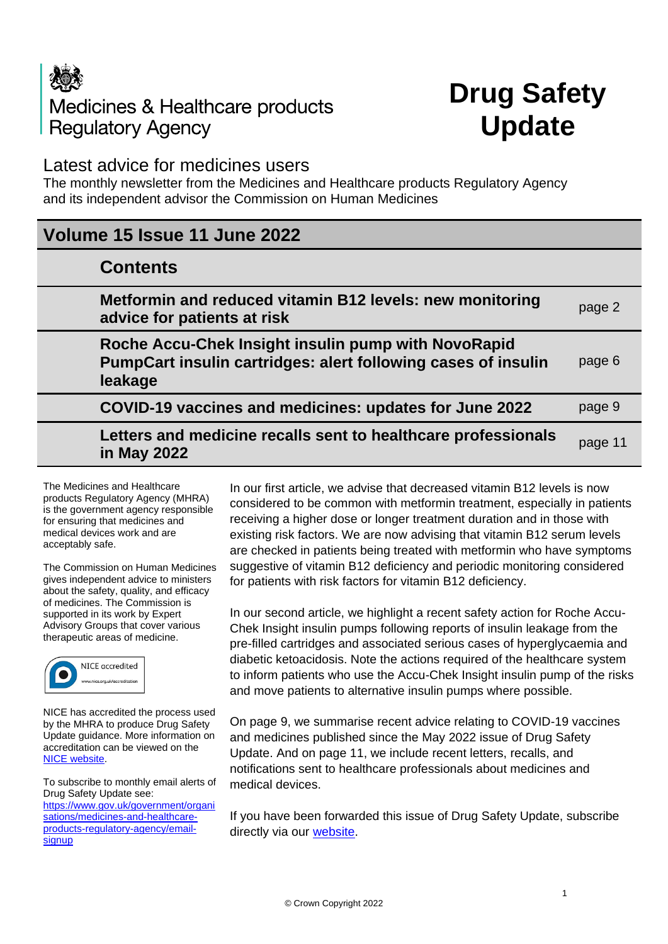# Medicines & Healthcare products **Regulatory Agency**

## **Drug Safety Update**

## Latest advice for medicines users

The monthly newsletter from the Medicines and Healthcare products Regulatory Agency and its independent advisor the Commission on Human Medicines

## **Volume 15 Issue 11 June 2022**

| page 2                                                                   |
|--------------------------------------------------------------------------|
| PumpCart insulin cartridges: alert following cases of insulin<br>page 6  |
| page 9                                                                   |
| Letters and medicine recalls sent to healthcare professionals<br>page 11 |
| Metformin and reduced vitamin B12 levels: new monitoring                 |

The Medicines and Healthcare products Regulatory Agency (MHRA) is the government agency responsible for ensuring that medicines and medical devices work and are acceptably safe.

The Commission on Human Medicines gives independent advice to ministers about the safety, quality, and efficacy of medicines. The Commission is supported in its work by Expert Advisory Groups that cover various therapeutic areas of medicine.



NICE has accredited the process used by the MHRA to produce Drug Safety Update guidance. More information on accreditation can be viewed on the [NICE website.](http://www.nice.org.uk/about/what-we-do/accreditation)

To subscribe to monthly email alerts of Drug Safety Update see: [https://www.gov.uk/government/organi](https://www.gov.uk/government/organisations/medicines-and-healthcare-products-regulatory-agency/email-signup) [sations/medicines-and-healthcare](https://www.gov.uk/government/organisations/medicines-and-healthcare-products-regulatory-agency/email-signup)[products-regulatory-agency/email](https://www.gov.uk/government/organisations/medicines-and-healthcare-products-regulatory-agency/email-signup)[signup](https://www.gov.uk/government/organisations/medicines-and-healthcare-products-regulatory-agency/email-signup)

In our first article, we advise that decreased vitamin B12 levels is now considered to be common with metformin treatment, especially in patients receiving a higher dose or longer treatment duration and in those with existing risk factors. We are now advising that vitamin B12 serum levels are checked in patients being treated with metformin who have symptoms suggestive of vitamin B12 deficiency and periodic monitoring considered for patients with risk factors for vitamin B12 deficiency.

In our second article, we highlight a recent safety action for Roche Accu-Chek Insight insulin pumps following reports of insulin leakage from the pre-filled cartridges and associated serious cases of hyperglycaemia and diabetic ketoacidosis. Note the actions required of the healthcare system to inform patients who use the Accu-Chek Insight insulin pump of the risks and move patients to alternative insulin pumps where possible.

On page 9, we summarise recent advice relating to COVID-19 vaccines and medicines published since the May 2022 issue of Drug Safety Update. And on page 11, we include recent letters, recalls, and notifications sent to healthcare professionals about medicines and medical devices.

If you have been forwarded this issue of Drug Safety Update, subscribe directly via our **website**.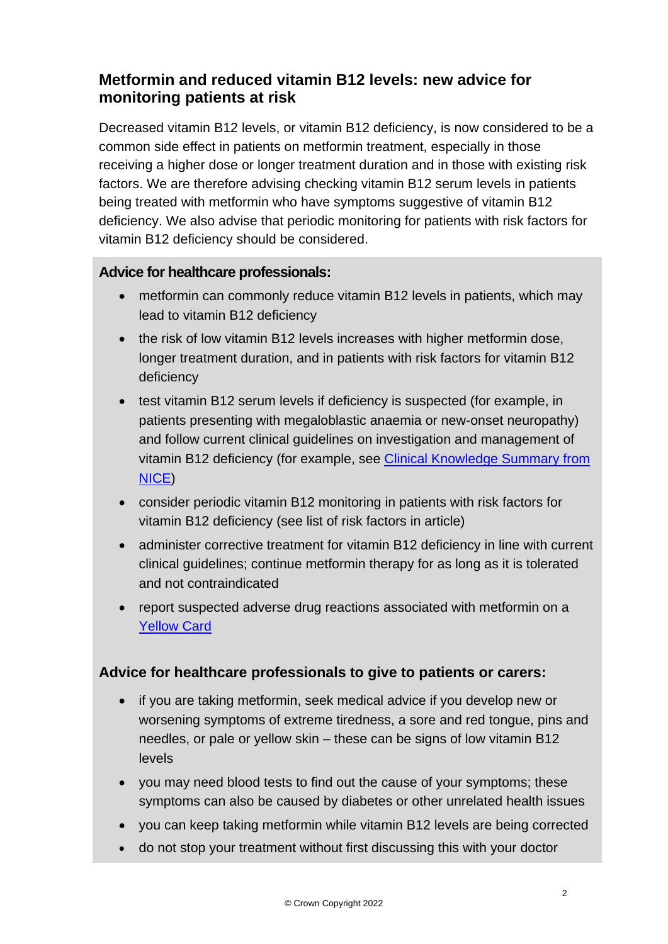## **Metformin and reduced vitamin B12 levels: new advice for monitoring patients at risk**

Decreased vitamin B12 levels, or vitamin B12 deficiency, is now considered to be a common side effect in patients on metformin treatment, especially in those receiving a higher dose or longer treatment duration and in those with existing risk factors. We are therefore advising checking vitamin B12 serum levels in patients being treated with metformin who have symptoms suggestive of vitamin B12 deficiency. We also advise that periodic monitoring for patients with risk factors for vitamin B12 deficiency should be considered.

#### **Advice for healthcare professionals:**

- metformin can commonly reduce vitamin B12 levels in patients, which may lead to vitamin B12 deficiency
- the risk of low vitamin B12 levels increases with higher metformin dose, longer treatment duration, and in patients with risk factors for vitamin B12 deficiency
- test vitamin B12 serum levels if deficiency is suspected (for example, in patients presenting with megaloblastic anaemia or new-onset neuropathy) and follow current clinical guidelines on investigation and management of vitamin B12 deficiency (for example, see [Clinical Knowledge Summary from](https://cks.nice.org.uk/topics/anaemia-b12-folate-deficiency/)  [NICE\)](https://cks.nice.org.uk/topics/anaemia-b12-folate-deficiency/)
- consider periodic vitamin B12 monitoring in patients with risk factors for vitamin B12 deficiency (see list of risk factors in article)
- administer corrective treatment for vitamin B12 deficiency in line with current clinical guidelines; continue metformin therapy for as long as it is tolerated and not contraindicated
- report suspected adverse drug reactions associated with metformin on a [Yellow Card](http://www.mhra.gov.uk/yellowcard)

#### **Advice for healthcare professionals to give to patients or carers:**

- if you are taking metformin, seek medical advice if you develop new or worsening symptoms of extreme tiredness, a sore and red tongue, pins and needles, or pale or yellow skin – these can be signs of low vitamin B12 levels
- you may need blood tests to find out the cause of your symptoms; these symptoms can also be caused by diabetes or other unrelated health issues
- you can keep taking metformin while vitamin B12 levels are being corrected
- do not stop your treatment without first discussing this with your doctor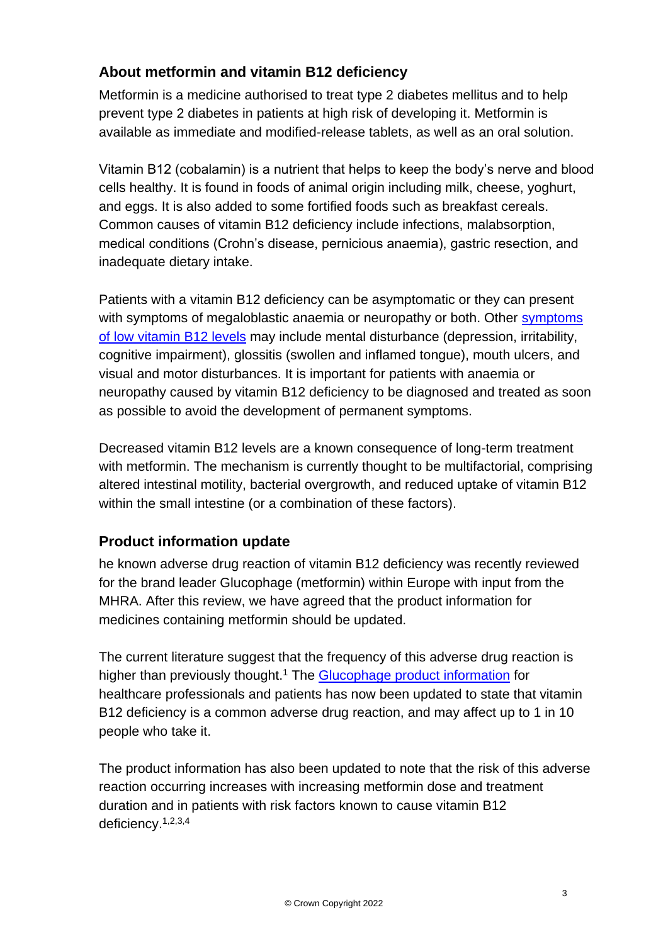## **About metformin and vitamin B12 deficiency**

Metformin is a medicine authorised to treat type 2 diabetes mellitus and to help prevent type 2 diabetes in patients at high risk of developing it. Metformin is available as immediate and modified-release tablets, as well as an oral solution.

Vitamin B12 (cobalamin) is a nutrient that helps to keep the body's nerve and blood cells healthy. It is found in foods of animal origin including milk, cheese, yoghurt, and eggs. It is also added to some fortified foods such as breakfast cereals. Common causes of vitamin B12 deficiency include infections, malabsorption, medical conditions (Crohn's disease, pernicious anaemia), gastric resection, and inadequate dietary intake.

Patients with a vitamin B12 deficiency can be asymptomatic or they can present with [symptoms](https://www.nhs.uk/conditions/vitamin-b12-or-folate-deficiency-anaemia/symptoms/) of megaloblastic anaemia or neuropathy or both. Other symptoms [of low vitamin B12 levels](https://www.nhs.uk/conditions/vitamin-b12-or-folate-deficiency-anaemia/symptoms/) may include mental disturbance (depression, irritability, cognitive impairment), glossitis (swollen and inflamed tongue), mouth ulcers, and visual and motor disturbances. It is important for patients with anaemia or neuropathy caused by vitamin B12 deficiency to be diagnosed and treated as soon as possible to avoid the development of permanent symptoms.

Decreased vitamin B12 levels are a known consequence of long-term treatment with metformin. The mechanism is currently thought to be multifactorial, comprising altered intestinal motility, bacterial overgrowth, and reduced uptake of vitamin B12 within the small intestine (or a combination of these factors).

## **Product information update**

he known adverse drug reaction of vitamin B12 deficiency was recently reviewed for the brand leader Glucophage (metformin) within Europe with input from the MHRA. After this review, we have agreed that the product information for medicines containing metformin should be updated.

The current literature suggest that the frequency of this adverse drug reaction is higher than previously thought.<sup>1</sup> The [Glucophage product information](https://www.medicines.org.uk/emc/medicine/1043#gref) for healthcare professionals and patients has now been updated to state that vitamin B12 deficiency is a common adverse drug reaction, and may affect up to 1 in 10 people who take it.

The product information has also been updated to note that the risk of this adverse reaction occurring increases with increasing metformin dose and treatment duration and in patients with risk factors known to cause vitamin B12 deficiency.1,2,3,4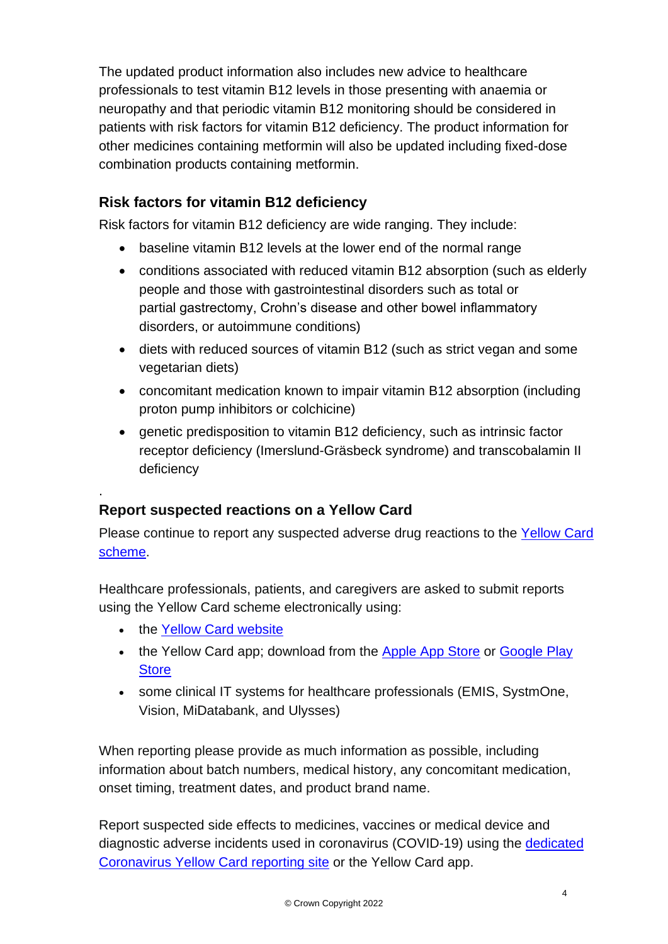The updated product information also includes new advice to healthcare professionals to test vitamin B12 levels in those presenting with anaemia or neuropathy and that periodic vitamin B12 monitoring should be considered in patients with risk factors for vitamin B12 deficiency. The product information for other medicines containing metformin will also be updated including fixed-dose combination products containing metformin.

## **Risk factors for vitamin B12 deficiency**

Risk factors for vitamin B12 deficiency are wide ranging. They include:

- baseline vitamin B12 levels at the lower end of the normal range
- conditions associated with reduced vitamin B12 absorption (such as elderly people and those with gastrointestinal disorders such as total or partial gastrectomy, Crohn's disease and other bowel inflammatory disorders, or autoimmune conditions)
- diets with reduced sources of vitamin B12 (such as strict vegan and some vegetarian diets)
- concomitant medication known to impair vitamin B12 absorption (including proton pump inhibitors or colchicine)
- genetic predisposition to vitamin B12 deficiency, such as intrinsic factor receptor deficiency (Imerslund-Gräsbeck syndrome) and transcobalamin II deficiency

## **Report suspected reactions on a Yellow Card**

Please continue to report any suspected adverse drug reactions to the [Yellow Card](https://yellowcard.mhra.gov.uk/)  [scheme.](https://yellowcard.mhra.gov.uk/)

Healthcare professionals, patients, and caregivers are asked to submit reports using the Yellow Card scheme electronically using:

• the [Yellow Card website](https://yellowcard.mhra.gov.uk/)

.

- the Yellow Card app; download from the [Apple App Store](https://itunes.apple.com/us/app/apple-store/id990237487?pt=117756671&ct=EYC&mt=8) or Google Play **[Store](https://play.google.com/store/apps/details?id=uk.org.mhra.yellowcard&referrer=utm_source%3DEYC%26utm_medium%3Dcpc%26anid%3Dadmob)**
- some clinical IT systems for healthcare professionals (EMIS, SystmOne, Vision, MiDatabank, and Ulysses)

When reporting please provide as much information as possible, including information about batch numbers, medical history, any concomitant medication, onset timing, treatment dates, and product brand name.

Report suspected side effects to medicines, vaccines or medical device and diagnostic adverse incidents used in coronavirus (COVID-19) using the [dedicated](https://coronavirus-yellowcard.mhra.gov.uk/)  [Coronavirus Yellow Card reporting site](https://coronavirus-yellowcard.mhra.gov.uk/) or the Yellow Card app.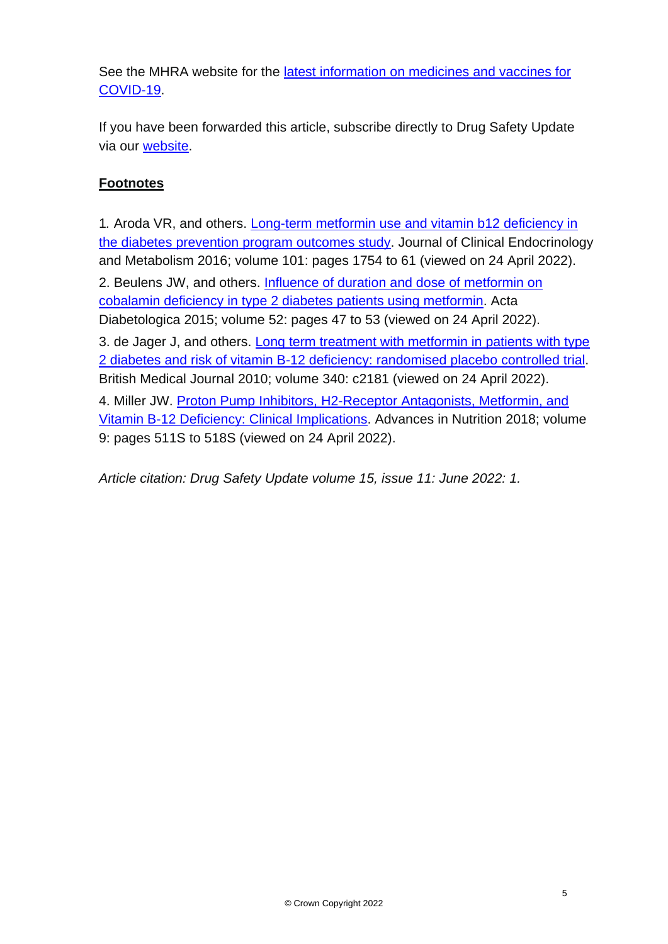See the MHRA website for the [latest information on medicines and vaccines for](https://www.gov.uk/government/collections/mhra-guidance-on-coronavirus-covid-19)  [COVID-19.](https://www.gov.uk/government/collections/mhra-guidance-on-coronavirus-covid-19)

If you have been forwarded this article, subscribe directly to Drug Safety Update via our [website.](https://www.gov.uk/government/organisations/medicines-and-healthcare-products-regulatory-agency/email-signup)

#### **Footnotes**

1*.* Aroda VR, and others. [Long-term metformin use and vitamin b12 deficiency in](https://doi.org/10.1210/jc.2015-3754)  [the diabetes prevention program outcomes study.](https://doi.org/10.1210/jc.2015-3754) Journal of Clinical Endocrinology and Metabolism 2016; volume 101: pages 1754 to 61 (viewed on 24 April 2022).

2. Beulens JW, and others. [Influence of duration and dose of metformin on](https://doi.org/10.1007/s00592-014-0597-8)  [cobalamin deficiency in type 2 diabetes patients using metformin.](https://doi.org/10.1007/s00592-014-0597-8) Acta Diabetologica 2015; volume 52: pages 47 to 53 (viewed on 24 April 2022).

3. de Jager J, and others. [Long term treatment with metformin in patients with type](https://www.bmj.com/content/340/bmj.c2181)  [2 diabetes and risk of vitamin B-12 deficiency: randomised placebo controlled trial.](https://www.bmj.com/content/340/bmj.c2181) British Medical Journal 2010; volume 340: c2181 (viewed on 24 April 2022). 4. Miller JW. [Proton Pump Inhibitors, H2-Receptor Antagonists, Metformin, and](https://doi.org/10.1093/advances/nmy023)  [Vitamin B-12 Deficiency: Clinical Implications.](https://doi.org/10.1093/advances/nmy023) Advances in Nutrition 2018; volume 9: pages 511S to 518S (viewed on 24 April 2022).

*Article citation: Drug Safety Update volume 15, issue 11: June 2022: 1.*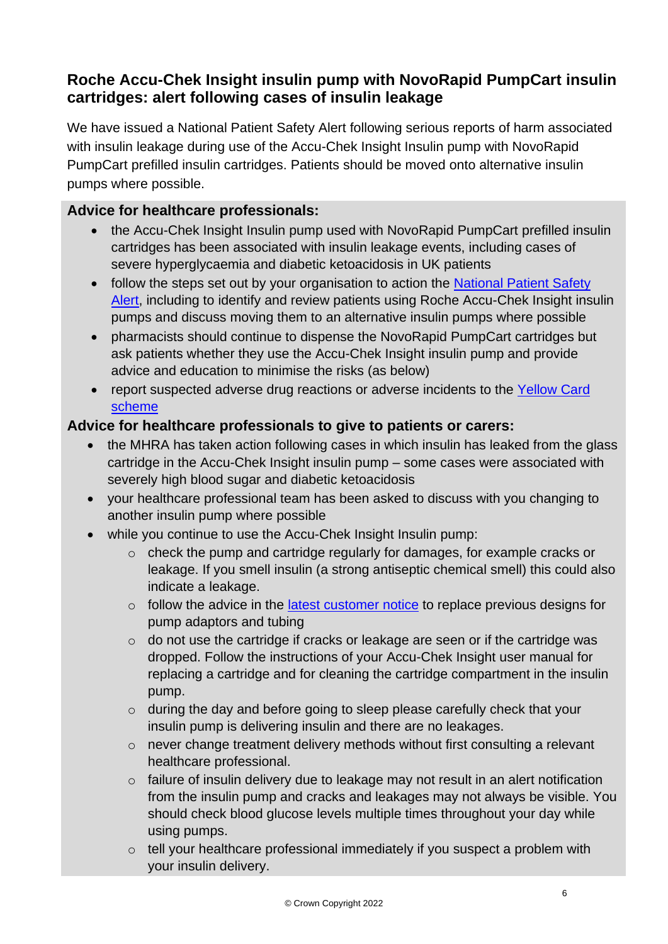## **Roche Accu-Chek Insight insulin pump with NovoRapid PumpCart insulin cartridges: alert following cases of insulin leakage**

We have issued a National Patient Safety Alert following serious reports of harm associated with insulin leakage during use of the Accu-Chek Insight Insulin pump with NovoRapid PumpCart prefilled insulin cartridges. Patients should be moved onto alternative insulin pumps where possible.

#### **Advice for healthcare professionals:**

- the Accu-Chek Insight Insulin pump used with NovoRapid PumpCart prefilled insulin cartridges has been associated with insulin leakage events, including cases of severe hyperglycaemia and diabetic ketoacidosis in UK patients
- follow the steps set out by your organisation to action the National Patient Safety [Alert,](https://www.gov.uk/drug-device-alerts/national-patient-safety-alert-novorapid-pumpcart-in-the-roche-accu-chek-insight-insulin-pump-risk-of-insulin-leakage-causing-hyperglycaemia-and-diabetic-ketoacidosis-natpsa-slash-2022-slash-004-slash-mhra) including to identify and review patients using Roche Accu-Chek Insight insulin pumps and discuss moving them to an alternative insulin pumps where possible
- pharmacists should continue to dispense the NovoRapid PumpCart cartridges but ask patients whether they use the Accu-Chek Insight insulin pump and provide advice and education to minimise the risks (as below)
- report suspected adverse drug reactions or adverse incidents to the [Yellow Card](https://yellowcard.mhra.gov.uk/)  [scheme](https://yellowcard.mhra.gov.uk/)

#### **Advice for healthcare professionals to give to patients or carers:**

- the MHRA has taken action following cases in which insulin has leaked from the glass cartridge in the Accu-Chek Insight insulin pump – some cases were associated with severely high blood sugar and diabetic ketoacidosis
- your healthcare professional team has been asked to discuss with you changing to another insulin pump where possible
- while you continue to use the Accu-Chek Insight Insulin pump:
	- o check the pump and cartridge regularly for damages, for example cracks or leakage. If you smell insulin (a strong antiseptic chemical smell) this could also indicate a leakage.
	- $\circ$  follow the advice in the *latest customer notice* to replace previous designs for pump adaptors and tubing
	- o do not use the cartridge if cracks or leakage are seen or if the cartridge was dropped. Follow the instructions of your Accu-Chek Insight user manual for replacing a cartridge and for cleaning the cartridge compartment in the insulin pump.
	- o during the day and before going to sleep please carefully check that your insulin pump is delivering insulin and there are no leakages.
	- o never change treatment delivery methods without first consulting a relevant healthcare professional.
	- o failure of insulin delivery due to leakage may not result in an alert notification from the insulin pump and cracks and leakages may not always be visible. You should check blood glucose levels multiple times throughout your day while using pumps.
	- o tell your healthcare professional immediately if you suspect a problem with your insulin delivery.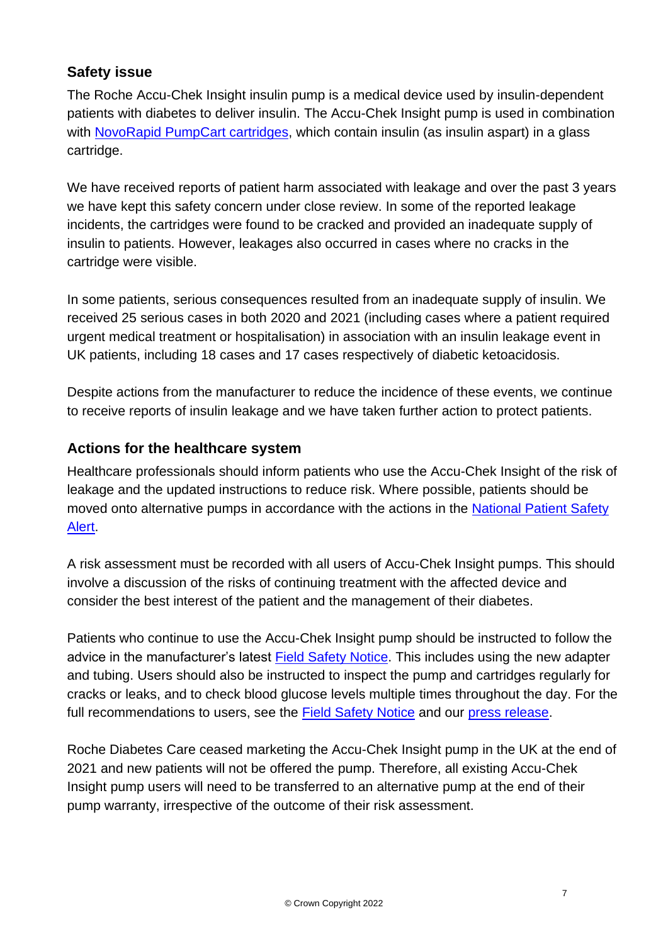## **Safety issue**

The Roche Accu-Chek Insight insulin pump is a medical device used by insulin-dependent patients with diabetes to deliver insulin. The Accu-Chek Insight pump is used in combination with [NovoRapid PumpCart cartridges,](https://www.medicines.org.uk/emc/product/7922/smpc) which contain insulin (as insulin aspart) in a glass cartridge.

We have received reports of patient harm associated with leakage and over the past 3 years we have kept this safety concern under close review. In some of the reported leakage incidents, the cartridges were found to be cracked and provided an inadequate supply of insulin to patients. However, leakages also occurred in cases where no cracks in the cartridge were visible.

In some patients, serious consequences resulted from an inadequate supply of insulin. We received 25 serious cases in both 2020 and 2021 (including cases where a patient required urgent medical treatment or hospitalisation) in association with an insulin leakage event in UK patients, including 18 cases and 17 cases respectively of diabetic ketoacidosis.

Despite actions from the manufacturer to reduce the incidence of these events, we continue to receive reports of insulin leakage and we have taken further action to protect patients.

#### **Actions for the healthcare system**

Healthcare professionals should inform patients who use the Accu-Chek Insight of the risk of leakage and the updated instructions to reduce risk. Where possible, patients should be moved onto alternative pumps in accordance with the actions in the National Patient Safety [Alert.](https://www.gov.uk/drug-device-alerts/national-patient-safety-alert-novorapid-pumpcart-in-the-roche-accu-chek-insight-insulin-pump-risk-of-insulin-leakage-causing-hyperglycaemia-and-diabetic-ketoacidosis-natpsa-slash-2022-slash-004-slash-mhra)

A risk assessment must be recorded with all users of Accu-Chek Insight pumps. This should involve a discussion of the risks of continuing treatment with the affected device and consider the best interest of the patient and the management of their diabetes.

Patients who continue to use the Accu-Chek Insight pump should be instructed to follow the advice in the manufacturer's latest [Field Safety Notice.](https://mhra-gov.filecamp.com/s/7tuMvXjqJlRgAzGD/d) This includes using the new adapter and tubing. Users should also be instructed to inspect the pump and cartridges regularly for cracks or leaks, and to check blood glucose levels multiple times throughout the day. For the full recommendations to users, see the [Field Safety Notice](https://mhra-gov.filecamp.com/s/7tuMvXjqJlRgAzGD/d) and our [press release.](https://www.gov.uk/government/news/new-safety-warnings-on-risk-of-insulin-leakage-from-roche-accu-chek-insight-insulin-pumps)

Roche Diabetes Care ceased marketing the Accu-Chek Insight pump in the UK at the end of 2021 and new patients will not be offered the pump. Therefore, all existing Accu-Chek Insight pump users will need to be transferred to an alternative pump at the end of their pump warranty, irrespective of the outcome of their risk assessment.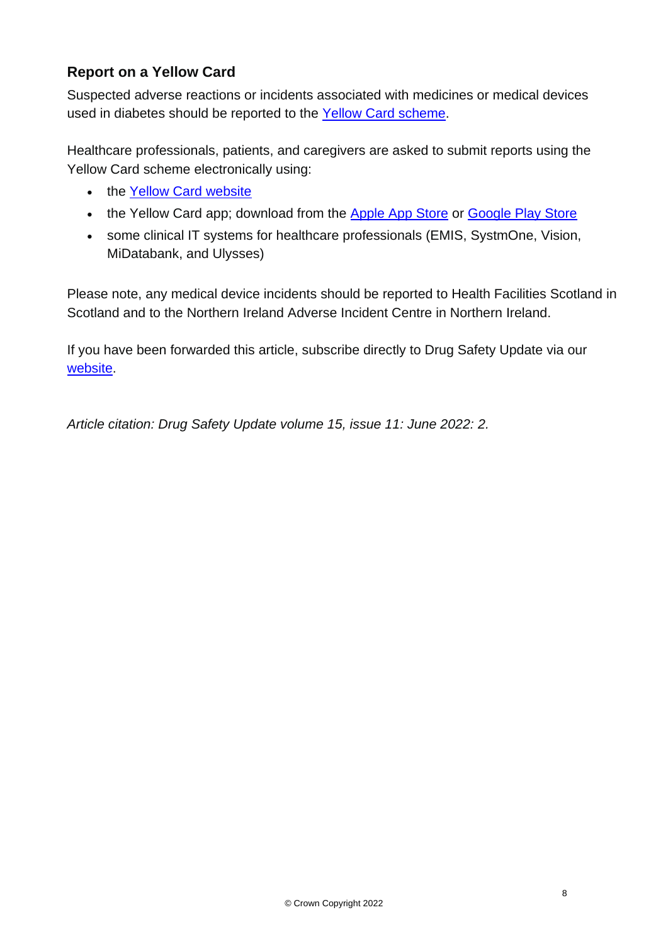## **Report on a Yellow Card**

Suspected adverse reactions or incidents associated with medicines or medical devices used in diabetes should be reported to the [Yellow Card scheme.](https://yellowcard.mhra.gov.uk/)

Healthcare professionals, patients, and caregivers are asked to submit reports using the Yellow Card scheme electronically using:

- the [Yellow Card website](https://yellowcard.mhra.gov.uk/)
- the Yellow Card app; download from the [Apple App Store](https://itunes.apple.com/us/app/apple-store/id990237487?pt=117756671&ct=EYC&mt=8) or [Google Play Store](https://play.google.com/store/apps/details?id=uk.org.mhra.yellowcard&referrer=utm_source%3DEYC%26utm_medium%3Dcpc%26anid%3Dadmob)
- some clinical IT systems for healthcare professionals (EMIS, SystmOne, Vision, MiDatabank, and Ulysses)

Please note, any medical device incidents should be reported to Health Facilities Scotland in Scotland and to the Northern Ireland Adverse Incident Centre in Northern Ireland.

If you have been forwarded this article, subscribe directly to Drug Safety Update via our [website.](https://www.gov.uk/government/organisations/medicines-and-healthcare-products-regulatory-agency/email-signup)

*Article citation: Drug Safety Update volume 15, issue 11: June 2022: 2.*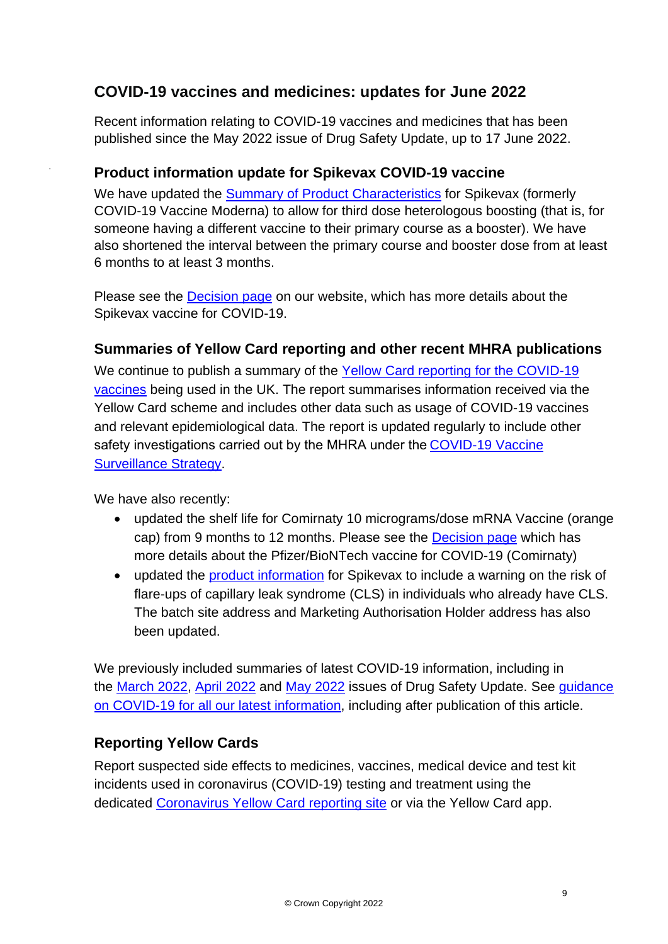## **COVID-19 vaccines and medicines: updates for June 2022**

Recent information relating to COVID-19 vaccines and medicines that has been published since the May 2022 issue of Drug Safety Update, up to 17 June 2022.

#### **Product information update for Spikevax COVID-19 vaccine**

We have updated the [Summary of Product Characteristics](https://www.gov.uk/government/publications/regulatory-approval-of-covid-19-vaccine-moderna/information-for-healthcare-professionals-on-covid-19-vaccine-moderna) for Spikevax (formerly COVID-19 Vaccine Moderna) to allow for third dose heterologous boosting (that is, for someone having a different vaccine to their primary course as a booster). We have also shortened the interval between the primary course and booster dose from at least 6 months to at least 3 months.

Please see the [Decision page](https://www.gov.uk/government/publications/regulatory-approval-of-covid-19-vaccine-moderna) on our website, which has more details about the Spikevax vaccine for COVID-19.

#### **Summaries of Yellow Card reporting and other recent MHRA publications**

We continue to publish a summary of the Yellow Card reporting for the COVID-19 [vaccines](https://www.gov.uk/government/publications/coronavirus-covid-19-vaccine-adverse-reactions/coronavirus-vaccine-summary-of-yellow-card-reporting) being used in the UK. The report summarises information received via the Yellow Card scheme and includes other data such as usage of COVID-19 vaccines and relevant epidemiological data. The report is updated regularly to include other safety investigations carried out by the MHRA under the[COVID-19 Vaccine](https://www.gov.uk/government/publications/report-of-the-commission-on-human-medicines-expert-working-group-on-covid-19-vaccine-safety-surveillance)  [Surveillance Strategy.](https://www.gov.uk/government/publications/report-of-the-commission-on-human-medicines-expert-working-group-on-covid-19-vaccine-safety-surveillance)

We have also recently:

.

- updated the shelf life for Comirnaty 10 micrograms/dose mRNA Vaccine (orange cap) from 9 months to 12 months. Please see the [Decision page](https://www.gov.uk/government/publications/regulatory-approval-of-pfizer-biontech-vaccine-for-covid-19) which has more details about the Pfizer/BioNTech vaccine for COVID-19 (Comirnaty)
- updated the [product information](https://www.gov.uk/government/publications/regulatory-approval-of-covid-19-vaccine-moderna/information-for-healthcare-professionals-on-covid-19-vaccine-moderna) for Spikevax to include a warning on the risk of flare-ups of capillary leak syndrome (CLS) in individuals who already have CLS. The batch site address and Marketing Authorisation Holder address has also been updated.

We previously included summaries of latest COVID-19 information, including in the [March 2022,](https://www.gov.uk/drug-safety-update/covid-19-vaccines-and-medicines-updates-for-march-2022) [April 2022](https://www.gov.uk/drug-safety-update/covid-19-vaccines-and-medicines-updates-for-april-2022) and [May 2022](https://www.gov.uk/drug-safety-update/covid-19-vaccines-and-medicines-updates-for-may-2022) issues of Drug Safety Update. See [guidance](https://www.gov.uk/government/collections/mhra-guidance-on-coronavirus-covid-19)  [on COVID-19 for all our latest information,](https://www.gov.uk/government/collections/mhra-guidance-on-coronavirus-covid-19) including after publication of this article.

#### **Reporting Yellow Cards**

Report suspected side effects to medicines, vaccines, medical device and test kit incidents used in coronavirus (COVID-19) testing and treatment using the dedicated [Coronavirus Yellow Card reporting site](https://coronavirus-yellowcard.mhra.gov.uk/) or via the Yellow Card app.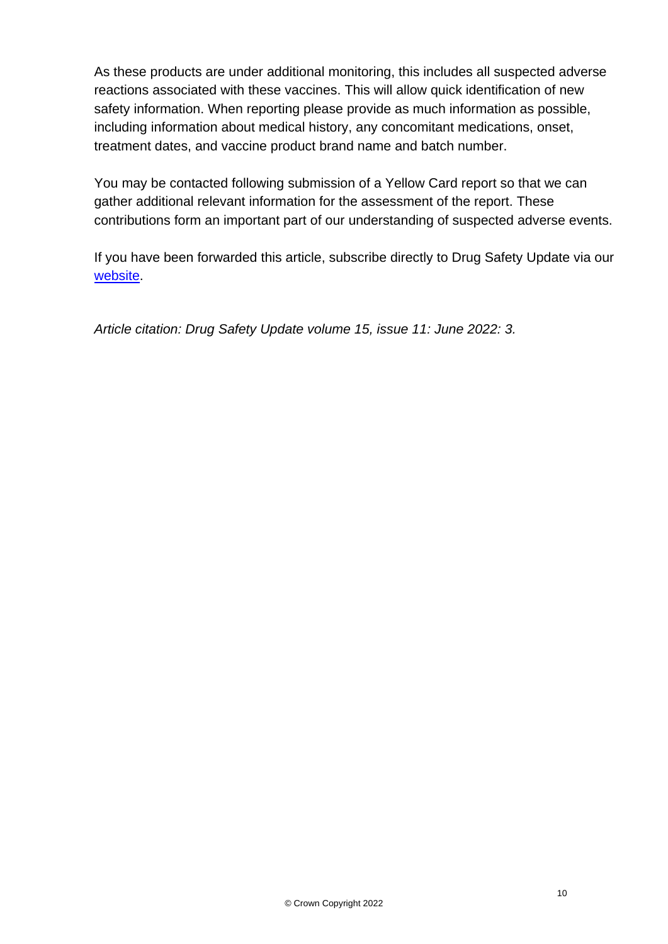As these products are under additional monitoring, this includes all suspected adverse reactions associated with these vaccines. This will allow quick identification of new safety information. When reporting please provide as much information as possible, including information about medical history, any concomitant medications, onset, treatment dates, and vaccine product brand name and batch number.

You may be contacted following submission of a Yellow Card report so that we can gather additional relevant information for the assessment of the report. These contributions form an important part of our understanding of suspected adverse events.

If you have been forwarded this article, subscribe directly to Drug Safety Update via our [website.](https://www.gov.uk/government/organisations/medicines-and-healthcare-products-regulatory-agency/email-signup)

*Article citation: Drug Safety Update volume 15, issue 11: June 2022: 3.*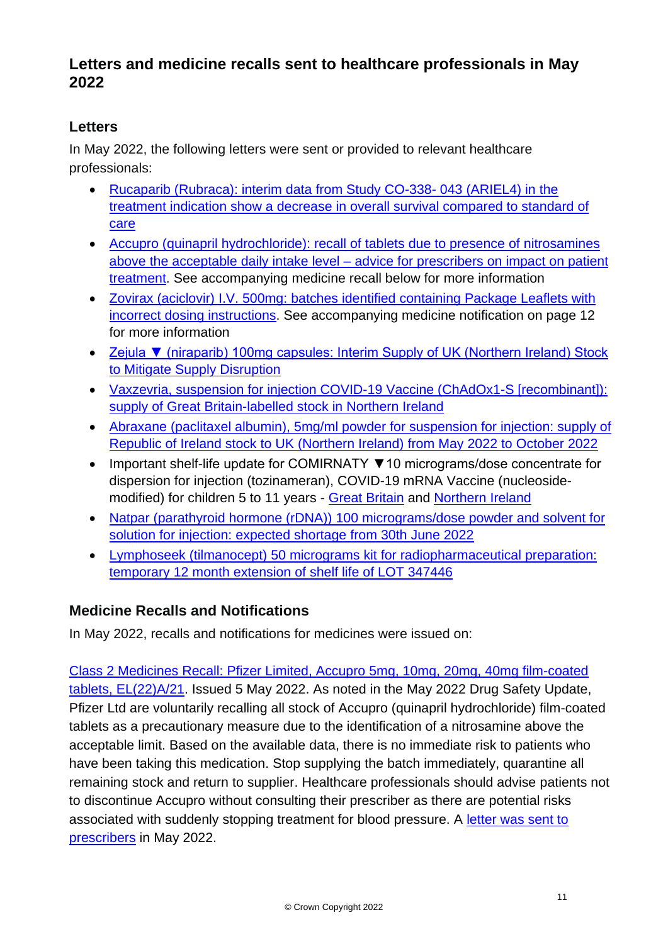## **Letters and medicine recalls sent to healthcare professionals in May 2022**

## **Letters**

In May 2022, the following letters were sent or provided to relevant healthcare professionals:

- [Rucaparib \(Rubraca\): interim data from Study CO-338-](https://assets.publishing.service.gov.uk/media/62b067a28fa8f5356d206d0f/Rubraca_DHPC-UK_-_17_May_2022.pdf) 043 (ARIEL4) in the [treatment indication show a decrease in overall survival compared to standard of](https://assets.publishing.service.gov.uk/media/62b067a28fa8f5356d206d0f/Rubraca_DHPC-UK_-_17_May_2022.pdf)  [care](https://assets.publishing.service.gov.uk/media/62b067a28fa8f5356d206d0f/Rubraca_DHPC-UK_-_17_May_2022.pdf)
- [Accupro \(quinapril hydrochloride\): recall of tablets due to presence of nitrosamines](https://assets.publishing.service.gov.uk/media/62723d348fa8f57a3d1218de/ACCUPRO_Product_Recall_Dear_HCP_Communication.pdf)  above the acceptable daily intake level – [advice for prescribers on impact on patient](https://assets.publishing.service.gov.uk/media/62723d348fa8f57a3d1218de/ACCUPRO_Product_Recall_Dear_HCP_Communication.pdf)  [treatment.](https://assets.publishing.service.gov.uk/media/62723d348fa8f57a3d1218de/ACCUPRO_Product_Recall_Dear_HCP_Communication.pdf) See accompanying medicine recall below for more information
- [Zovirax \(aciclovir\) I.V. 500mg: batches identified containing Package Leaflets with](https://assets.publishing.service.gov.uk/media/62738c778fa8f57a3d121905/DHCPL_Zovirax_09-May2022_Final_Version.pdf)  [incorrect dosing instructions.](https://assets.publishing.service.gov.uk/media/62738c778fa8f57a3d121905/DHCPL_Zovirax_09-May2022_Final_Version.pdf) See accompanying medicine notification on page 12 for more information
- [Zejula ▼ \(niraparib\) 100mg capsules: Interim Supply of UK \(Northern Ireland\) Stock](https://assets.publishing.service.gov.uk/media/62b068b8d3bf7f0afadd9efa/DHCP_Zejula_PL__GB__packs_to_NI_2_May_2022.pdf)  [to Mitigate Supply Disruption](https://assets.publishing.service.gov.uk/media/62b068b8d3bf7f0afadd9efa/DHCP_Zejula_PL__GB__packs_to_NI_2_May_2022.pdf)
- [Vaxzevria, suspension for injection COVID-19 Vaccine \(ChAdOx1-S \[recombinant\]\):](https://assets.publishing.service.gov.uk/media/62b068c8e90e0765d96f92a6/DHPC_VAXZEVRIA_supply_09_May_2022.pdf)  [supply of Great Britain-labelled stock in Northern Ireland](https://assets.publishing.service.gov.uk/media/62b068c8e90e0765d96f92a6/DHPC_VAXZEVRIA_supply_09_May_2022.pdf)
- [Abraxane \(paclitaxel albumin\), 5mg/ml powder for suspension for injection: supply of](https://assets.publishing.service.gov.uk/media/62b08c19d3bf7f0afc3880b6/Abraxane_UK_NI__DHCP_Communication_Letter_-_23_May_2022.pdf)  [Republic of Ireland stock to UK \(Northern Ireland\) from May 2022 to October 2022](https://assets.publishing.service.gov.uk/media/62b08c19d3bf7f0afc3880b6/Abraxane_UK_NI__DHCP_Communication_Letter_-_23_May_2022.pdf)
- Important shelf-life update for COMIRNATY ▼10 micrograms/dose concentrate for dispersion for injection (tozinameran), COVID-19 mRNA Vaccine (nucleosidemodified) for children 5 to 11 years - [Great Britain](https://assets.publishing.service.gov.uk/media/62b0693ae90e0765da021347/PLGB_Comirnaty_TS_10_mcg_DHPC_Shelf-life_increase_9M_to_12M_26_May_2022.pdf) and [Northern Ireland](https://assets.publishing.service.gov.uk/media/62b08e2fe90e0765d6e82587/NI_Comirnaty_TS_10_mcg_DHPC_Shelf-life_increase_9M_to_12M_26_May_2022.pdf)
- [Natpar \(parathyroid hormone \(rDNA\)\) 100 micrograms/dose powder and solvent for](https://assets.publishing.service.gov.uk/media/62b0694d8fa8f5356eecc48f/Natpar_100mcg_Shortage_DHPC_26_May_2022.pdf)  [solution for injection: expected shortage from 30th June 2022](https://assets.publishing.service.gov.uk/media/62b0694d8fa8f5356eecc48f/Natpar_100mcg_Shortage_DHPC_26_May_2022.pdf)
- [Lymphoseek \(tilmanocept\) 50 micrograms kit for radiopharmaceutical preparation:](https://assets.publishing.service.gov.uk/media/62b06958e90e0765cc32e0b8/DHCP_letter_-Lymphoseek_31_May_2022_UK.pdf)  [temporary 12 month extension of shelf life of LOT 347446](https://assets.publishing.service.gov.uk/media/62b06958e90e0765cc32e0b8/DHCP_letter_-Lymphoseek_31_May_2022_UK.pdf)

## **Medicine Recalls and Notifications**

In May 2022, recalls and notifications for medicines were issued on:

[Class 2 Medicines Recall: Pfizer Limited, Accupro 5mg, 10mg, 20mg, 40mg film-coated](https://www.gov.uk/drug-device-alerts/class-2-medicines-recall-pfizer-limited-accupro-5mg-10mg-20mg-40mg-film-coated-tablets-el-22-a-slash-21)  [tablets, EL\(22\)A/21.](https://www.gov.uk/drug-device-alerts/class-2-medicines-recall-pfizer-limited-accupro-5mg-10mg-20mg-40mg-film-coated-tablets-el-22-a-slash-21) Issued 5 May 2022. As noted in the May 2022 Drug Safety Update, Pfizer Ltd are voluntarily recalling all stock of Accupro (quinapril hydrochloride) film-coated tablets as a precautionary measure due to the identification of a nitrosamine above the acceptable limit. Based on the available data, there is no immediate risk to patients who have been taking this medication. Stop supplying the batch immediately, quarantine all remaining stock and return to supplier. Healthcare professionals should advise patients not to discontinue Accupro without consulting their prescriber as there are potential risks associated with suddenly stopping treatment for blood pressure. A [letter was sent to](https://assets.publishing.service.gov.uk/media/62723d348fa8f57a3d1218de/ACCUPRO_Product_Recall_Dear_HCP_Communication.pdf)  [prescribers](https://assets.publishing.service.gov.uk/media/62723d348fa8f57a3d1218de/ACCUPRO_Product_Recall_Dear_HCP_Communication.pdf) in May 2022.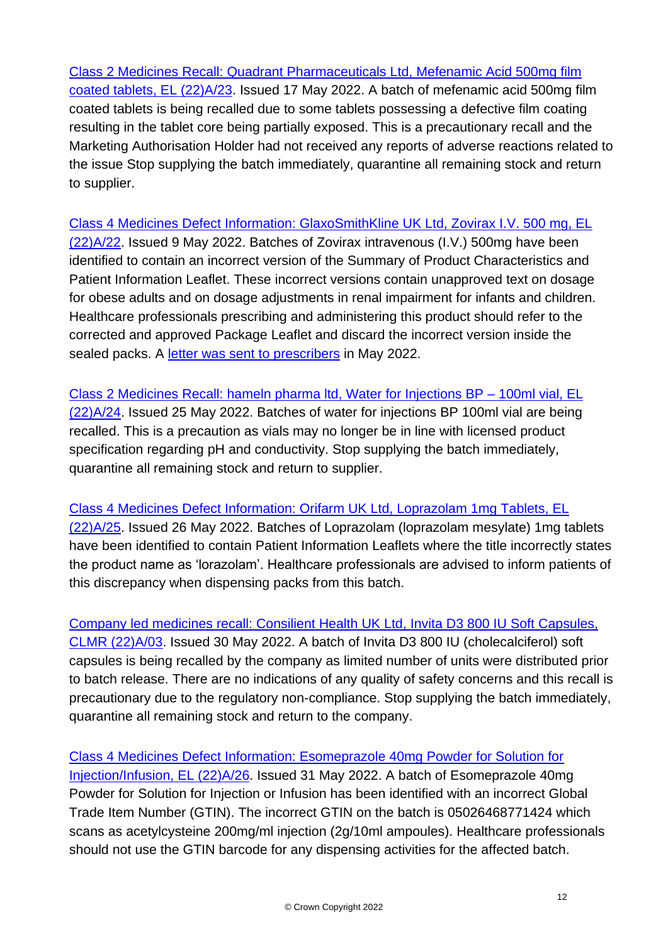[Class 2 Medicines Recall: Quadrant Pharmaceuticals Ltd, Mefenamic Acid 500mg film](https://www.gov.uk/drug-device-alerts/class-2-medicines-recall-quadrant-pharmaceuticals-ltd-mefenamic-acid-500mg-film-coated-tablets-el-22-a-slash-23)  [coated tablets, EL \(22\)A/23.](https://www.gov.uk/drug-device-alerts/class-2-medicines-recall-quadrant-pharmaceuticals-ltd-mefenamic-acid-500mg-film-coated-tablets-el-22-a-slash-23) Issued 17 May 2022. A batch of mefenamic acid 500mg film coated tablets is being recalled due to some tablets possessing a defective film coating resulting in the tablet core being partially exposed. This is a precautionary recall and the Marketing Authorisation Holder had not received any reports of adverse reactions related to the issue Stop supplying the batch immediately, quarantine all remaining stock and return to supplier.

[Class 4 Medicines Defect Information: GlaxoSmithKline UK Ltd, Zovirax I.V. 500 mg, EL](https://www.gov.uk/drug-device-alerts/class-4-medicines-defect-information-glaxosmithkline-uk-ltd-zovirax-iv-500-mg-el-22-a-slash-22)  [\(22\)A/22.](https://www.gov.uk/drug-device-alerts/class-4-medicines-defect-information-glaxosmithkline-uk-ltd-zovirax-iv-500-mg-el-22-a-slash-22) Issued 9 May 2022. Batches of Zovirax intravenous (I.V.) 500mg have been identified to contain an incorrect version of the Summary of Product Characteristics and Patient Information Leaflet. These incorrect versions contain unapproved text on dosage for obese adults and on dosage adjustments in renal impairment for infants and children. Healthcare professionals prescribing and administering this product should refer to the corrected and approved Package Leaflet and discard the incorrect version inside the sealed packs. A [letter was sent to prescribers](https://assets.publishing.service.gov.uk/media/62723d348fa8f57a3d1218de/ACCUPRO_Product_Recall_Dear_HCP_Communication.pdf) in May 2022.

[Class 2 Medicines Recall: hameln pharma ltd, Water for Injections BP –](https://www.gov.uk/drug-device-alerts/class-2-medicines-recall-hameln-pharma-ltd-water-for-injections-bp-100ml-vial-el-22-a-slash-24) 100ml vial, EL [\(22\)A/24.](https://www.gov.uk/drug-device-alerts/class-2-medicines-recall-hameln-pharma-ltd-water-for-injections-bp-100ml-vial-el-22-a-slash-24) Issued 25 May 2022. Batches of water for injections BP 100ml vial are being recalled. This is a precaution as vials may no longer be in line with licensed product specification regarding pH and conductivity. Stop supplying the batch immediately, quarantine all remaining stock and return to supplier.

[Class 4 Medicines Defect Information: Orifarm UK Ltd, Loprazolam 1mg Tablets, EL](https://www.gov.uk/drug-device-alerts/class-4-medicines-defect-information-orifarm-uk-ltd-loprazolam-1mg-tablets-el-22-a-slash-25)  [\(22\)A/25.](https://www.gov.uk/drug-device-alerts/class-4-medicines-defect-information-orifarm-uk-ltd-loprazolam-1mg-tablets-el-22-a-slash-25) Issued 26 May 2022. Batches of Loprazolam (loprazolam mesylate) 1mg tablets have been identified to contain Patient Information Leaflets where the title incorrectly states the product name as 'lorazolam'. Healthcare professionals are advised to inform patients of this discrepancy when dispensing packs from this batch.

[Company led medicines recall: Consilient Health UK Ltd, Invita D3 800 IU Soft Capsules,](https://www.gov.uk/drug-device-alerts/company-led-medicines-recall-consilient-health-uk-ltd-invita-d3-800-iu-soft-capsules-clmr-22-a-slash-03)  [CLMR \(22\)A/03.](https://www.gov.uk/drug-device-alerts/company-led-medicines-recall-consilient-health-uk-ltd-invita-d3-800-iu-soft-capsules-clmr-22-a-slash-03) Issued 30 May 2022. A batch of Invita D3 800 IU (cholecalciferol) soft capsules is being recalled by the company as limited number of units were distributed prior to batch release. There are no indications of any quality of safety concerns and this recall is precautionary due to the regulatory non-compliance. Stop supplying the batch immediately, quarantine all remaining stock and return to the company.

[Class 4 Medicines Defect Information: Esomeprazole 40mg Powder for Solution for](https://www.gov.uk/drug-device-alerts/class-4-medicines-defect-information-esomeprazole-40mg-powder-for-solution-for-injection-slash-infusion-el-22-a-slash-26)  [Injection/Infusion, EL \(22\)A/26.](https://www.gov.uk/drug-device-alerts/class-4-medicines-defect-information-esomeprazole-40mg-powder-for-solution-for-injection-slash-infusion-el-22-a-slash-26) Issued 31 May 2022. A batch of Esomeprazole 40mg Powder for Solution for Injection or Infusion has been identified with an incorrect Global Trade Item Number (GTIN). The incorrect GTIN on the batch is 05026468771424 which scans as acetylcysteine 200mg/ml injection (2g/10ml ampoules). Healthcare professionals should not use the GTIN barcode for any dispensing activities for the affected batch.